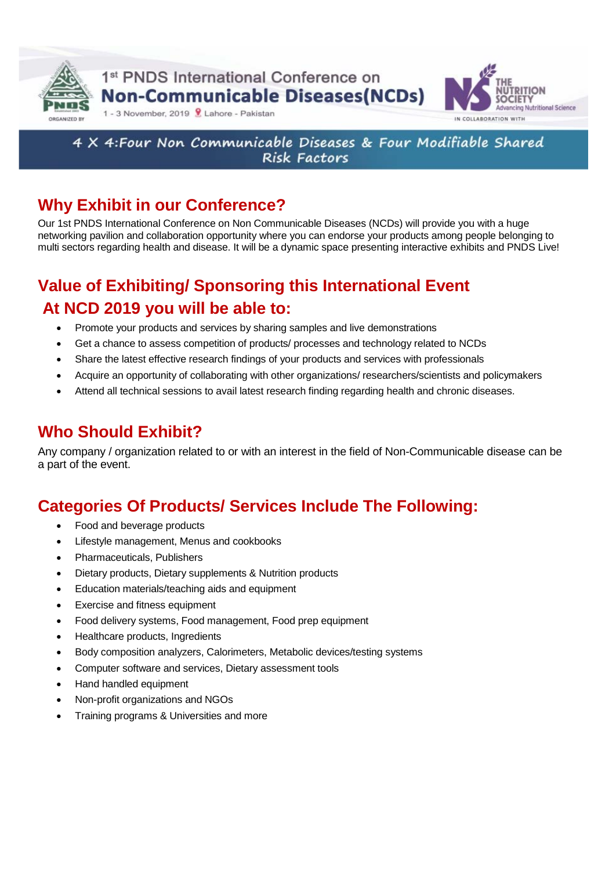

1<sup>st</sup> PNDS International Conference on **Non-Communicable Diseases(NCDs)** 



### 4 X 4: Four Non Communicable Diseases & Four Modifiable Shared **Risk Factors**

# **Why Exhibit in our Conference?**

1 - 3 November, 2019 | Lahore - Pakistan

Our 1st PNDS International Conference on Non Communicable Diseases (NCDs) will provide you with a huge networking pavilion and collaboration opportunity where you can endorse your products among people belonging to multi sectors regarding health and disease. It will be a dynamic space presenting interactive exhibits and PNDS Live!

# **Value of Exhibiting/ Sponsoring this International Event At NCD 2019 you will be able to:**

- Promote your products and services by sharing samples and live demonstrations
- Get a chance to assess competition of products/ processes and technology related to NCDs
- Share the latest effective research findings of your products and services with professionals
- Acquire an opportunity of collaborating with other organizations/ researchers/scientists and policymakers
- Attend all technical sessions to avail latest research finding regarding health and chronic diseases.

## **Who Should Exhibit?**

Any company / organization related to or with an interest in the field of Non-Communicable disease can be a part of the event.

# **Categories Of Products/ Services Include The Following:**

- Food and beverage products
- Lifestyle management, Menus and cookbooks
- Pharmaceuticals, Publishers
- Dietary products, Dietary supplements & Nutrition products
- Education materials/teaching aids and equipment
- Exercise and fitness equipment
- Food delivery systems, Food management, Food prep equipment
- Healthcare products, Ingredients
- Body composition analyzers, Calorimeters, Metabolic devices/testing systems
- Computer software and services, Dietary assessment tools
- Hand handled equipment
- Non-profit organizations and NGOs
- Training programs & Universities and more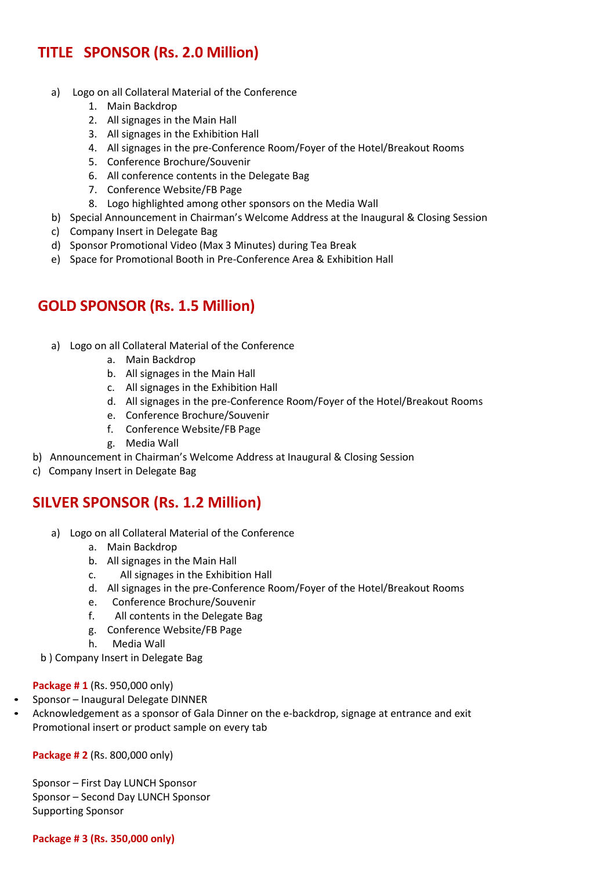## **TITLE SPONSOR (Rs. 2.0 Million)**

- a) Logo on all Collateral Material of the Conference
	- 1. Main Backdrop
	- 2. All signages in the Main Hall
	- 3. All signages in the Exhibition Hall
	- 4. All signages in the pre-Conference Room/Foyer of the Hotel/Breakout Rooms
	- 5. Conference Brochure/Souvenir
	- 6. All conference contents in the Delegate Bag
	- 7. Conference Website/FB Page
	- 8. Logo highlighted among other sponsors on the Media Wall
- b) Special Announcement in Chairman's Welcome Address at the Inaugural & Closing Session
- c) Company Insert in Delegate Bag
- d) Sponsor Promotional Video (Max 3 Minutes) during Tea Break
- e) Space for Promotional Booth in Pre-Conference Area & Exhibition Hall

## **GOLD SPONSOR (Rs. 1.5 Million)**

- a) Logo on all Collateral Material of the Conference
	- a. Main Backdrop
	- b. All signages in the Main Hall
	- c. All signages in the Exhibition Hall
	- d. All signages in the pre-Conference Room/Foyer of the Hotel/Breakout Rooms
	- e. Conference Brochure/Souvenir
	- f. Conference Website/FB Page
	- g. Media Wall
- b) Announcement in Chairman's Welcome Address at Inaugural & Closing Session
- c) Company Insert in Delegate Bag

## **SILVER SPONSOR (Rs. 1.2 Million)**

- a) Logo on all Collateral Material of the Conference
	- a. Main Backdrop
	- b. All signages in the Main Hall
	- c. All signages in the Exhibition Hall
	- d. All signages in the pre-Conference Room/Foyer of the Hotel/Breakout Rooms
	- e. Conference Brochure/Souvenir
	- f. All contents in the Delegate Bag
	- g. Conference Website/FB Page
	- h. Media Wall
- b ) Company Insert in Delegate Bag

### **Package # 1** (Rs. 950,000 only)

- Sponsor Inaugural Delegate DINNER
- Acknowledgement as a sponsor of Gala Dinner on the e-backdrop, signage at entrance and exit Promotional insert or product sample on every tab

**Package # 2** (Rs. 800,000 only)

Sponsor – First Day LUNCH Sponsor Sponsor – Second Day LUNCH Sponsor Supporting Sponsor

### **Package # 3 (Rs. 350,000 only)**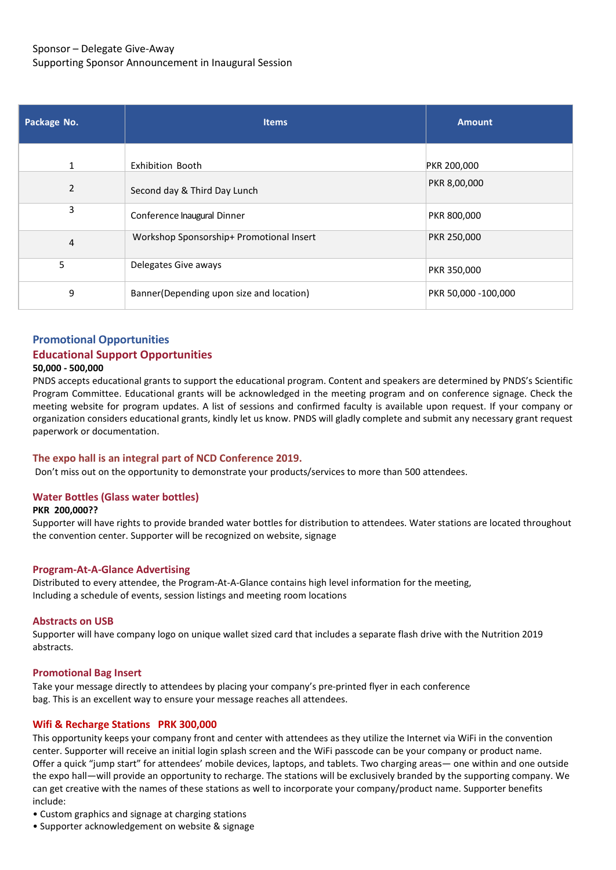### Sponsor – Delegate Give-Away Supporting Sponsor Announcement in Inaugural Session

| Package No.    | <b>Items</b>                             | <b>Amount</b>       |
|----------------|------------------------------------------|---------------------|
|                |                                          |                     |
| $\mathbf{1}$   | <b>Exhibition Booth</b>                  | PKR 200,000         |
| $\overline{2}$ | Second day & Third Day Lunch             | PKR 8,00,000        |
| 3              | Conference Inaugural Dinner              | PKR 800,000         |
| 4              | Workshop Sponsorship+ Promotional Insert | PKR 250,000         |
| 5.             | Delegates Give aways                     | PKR 350,000         |
| 9              | Banner(Depending upon size and location) | PKR 50,000 -100,000 |

## **Promotional Opportunities Educational Support Opportunities**

#### **50,000 - 500,000**

PNDS accepts educational grants to support the educational program. Content and speakers are determined by PNDS's Scientific Program Committee. Educational grants will be acknowledged in the meeting program and on conference signage. Check the meeting website for program updates. A list of sessions and confirmed faculty is available upon request. If your company or organization considers educational grants, kindly let us know. PNDS will gladly complete and submit any necessary grant request paperwork or documentation.

#### **The expo hall is an integral part of NCD Conference 2019.**

Don't miss out on the opportunity to demonstrate your products/services to more than 500 attendees.

#### **Water Bottles (Glass water bottles)**

#### **PKR 200,000??**

Supporter will have rights to provide branded water bottles for distribution to attendees. Water stations are located throughout the convention center. Supporter will be recognized on website, signage

#### **Program-At-A-Glance Advertising**

Distributed to every attendee, the Program-At-A-Glance contains high level information for the meeting, Including a schedule of events, session listings and meeting room locations

#### **Abstracts on USB**

Supporter will have company logo on unique wallet sized card that includes a separate flash drive with the Nutrition 2019 abstracts.

#### **Promotional Bag Insert**

Take your message directly to attendees by placing your company's pre-printed flyer in each conference bag. This is an excellent way to ensure your message reaches all attendees.

#### **Wifi & Recharge Stations PRK 300,000**

This opportunity keeps your company front and center with attendees as they utilize the Internet via WiFi in the convention center. Supporter will receive an initial login splash screen and the WiFi passcode can be your company or product name. Offer a quick "jump start" for attendees' mobile devices, laptops, and tablets. Two charging areas— one within and one outside the expo hall—will provide an opportunity to recharge. The stations will be exclusively branded by the supporting company. We can get creative with the names of these stations as well to incorporate your company/product name. Supporter benefits include:

- Custom graphics and signage at charging stations
- Supporter acknowledgement on website & signage